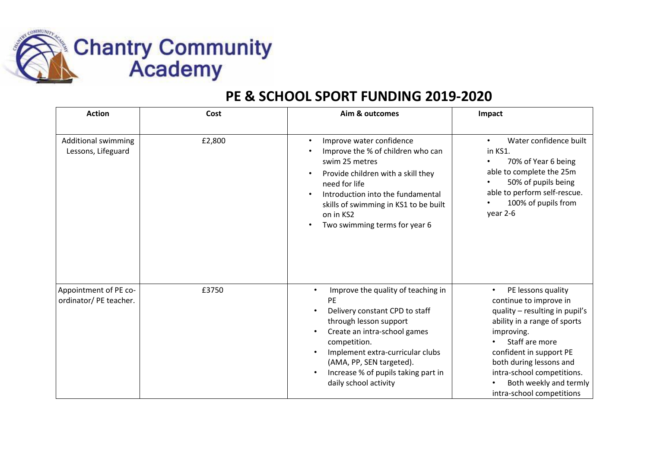

## **PE & SCHOOL SPORT FUNDING 2019-2020**

| <b>Action</b>                                    | Cost   | Aim & outcomes                                                                                                                                                                                                                                                                                                        | Impact                                                                                                                                                                                                                                                                                                 |
|--------------------------------------------------|--------|-----------------------------------------------------------------------------------------------------------------------------------------------------------------------------------------------------------------------------------------------------------------------------------------------------------------------|--------------------------------------------------------------------------------------------------------------------------------------------------------------------------------------------------------------------------------------------------------------------------------------------------------|
| <b>Additional swimming</b><br>Lessons, Lifeguard | £2,800 | Improve water confidence<br>$\bullet$<br>Improve the % of children who can<br>swim 25 metres<br>Provide children with a skill they<br>$\bullet$<br>need for life<br>Introduction into the fundamental<br>skills of swimming in KS1 to be built<br>on in KS2<br>Two swimming terms for year 6                          | Water confidence built<br>$\bullet$<br>in KS1.<br>70% of Year 6 being<br>able to complete the 25m<br>50% of pupils being<br>able to perform self-rescue.<br>100% of pupils from<br>year 2-6                                                                                                            |
| Appointment of PE co-<br>ordinator/ PE teacher.  | £3750  | Improve the quality of teaching in<br>$\bullet$<br><b>PE</b><br>Delivery constant CPD to staff<br>through lesson support<br>Create an intra-school games<br>$\bullet$<br>competition.<br>Implement extra-curricular clubs<br>(AMA, PP, SEN targeted).<br>Increase % of pupils taking part in<br>daily school activity | PE lessons quality<br>$\bullet$<br>continue to improve in<br>quality - resulting in pupil's<br>ability in a range of sports<br>improving.<br>Staff are more<br>confident in support PE<br>both during lessons and<br>intra-school competitions.<br>Both weekly and termly<br>intra-school competitions |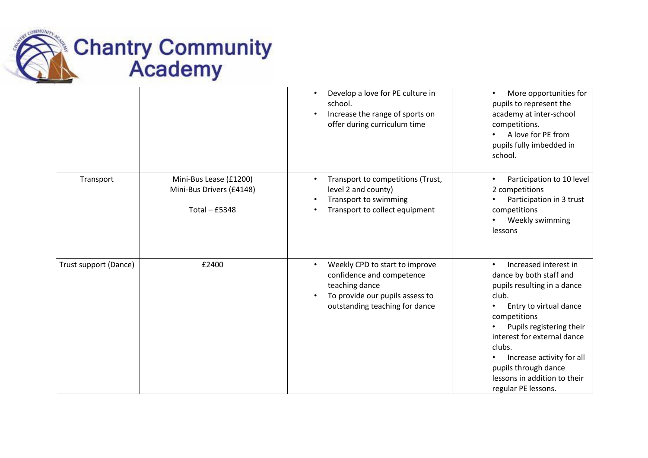

|                       |                                                                     | Develop a love for PE culture in<br>$\bullet$<br>school.<br>Increase the range of sports on<br>offer during curriculum time                                     | More opportunities for<br>pupils to represent the<br>academy at inter-school<br>competitions.<br>A love for PE from<br>pupils fully imbedded in<br>school.                                                                                                                                                          |
|-----------------------|---------------------------------------------------------------------|-----------------------------------------------------------------------------------------------------------------------------------------------------------------|---------------------------------------------------------------------------------------------------------------------------------------------------------------------------------------------------------------------------------------------------------------------------------------------------------------------|
| Transport             | Mini-Bus Lease (£1200)<br>Mini-Bus Drivers (£4148)<br>Total - £5348 | Transport to competitions (Trust,<br>$\bullet$<br>level 2 and county)<br>Transport to swimming<br>Transport to collect equipment                                | Participation to 10 level<br>2 competitions<br>Participation in 3 trust<br>competitions<br>Weekly swimming<br>lessons                                                                                                                                                                                               |
| Trust support (Dance) | £2400                                                               | Weekly CPD to start to improve<br>$\bullet$<br>confidence and competence<br>teaching dance<br>To provide our pupils assess to<br>outstanding teaching for dance | Increased interest in<br>dance by both staff and<br>pupils resulting in a dance<br>club.<br>Entry to virtual dance<br>competitions<br>Pupils registering their<br>interest for external dance<br>clubs.<br>Increase activity for all<br>pupils through dance<br>lessons in addition to their<br>regular PE lessons. |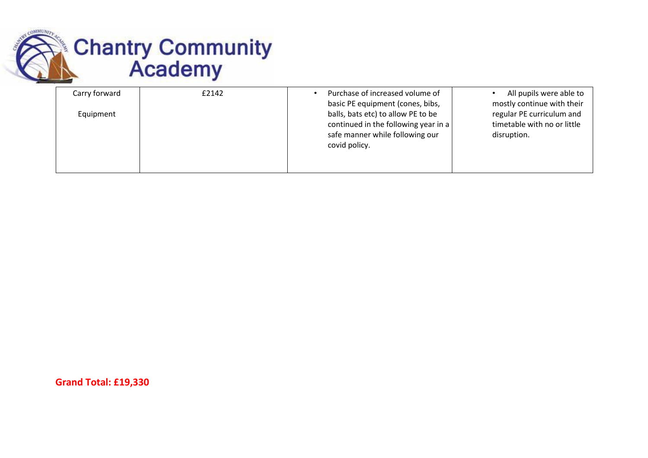

| Carry forward | £2142 | Purchase of increased volume of<br>basic PE equipment (cones, bibs,                                                            | All pupils were able to<br>mostly continue with their                   |
|---------------|-------|--------------------------------------------------------------------------------------------------------------------------------|-------------------------------------------------------------------------|
| Equipment     |       | balls, bats etc) to allow PE to be<br>continued in the following year in a<br>safe manner while following our<br>covid policy. | regular PE curriculum and<br>timetable with no or little<br>disruption. |

**Grand Total: £19,330**